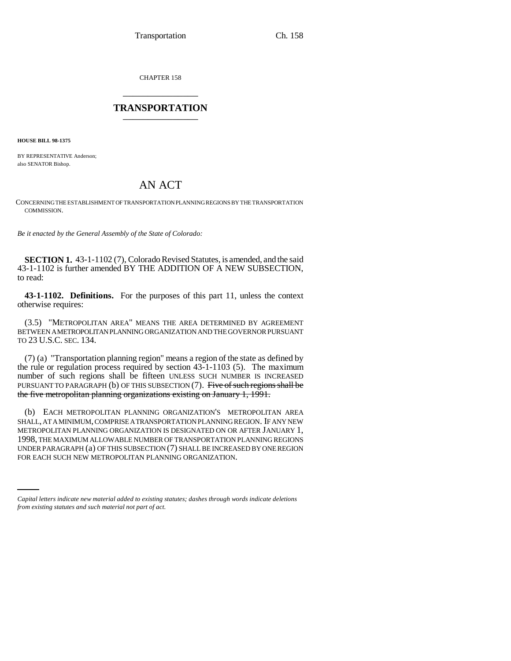CHAPTER 158 \_\_\_\_\_\_\_\_\_\_\_\_\_\_\_

## **TRANSPORTATION** \_\_\_\_\_\_\_\_\_\_\_\_\_\_\_

**HOUSE BILL 98-1375**

BY REPRESENTATIVE Anderson; also SENATOR Bishop.

## AN ACT

CONCERNING THE ESTABLISHMENT OF TRANSPORTATION PLANNING REGIONS BY THE TRANSPORTATION COMMISSION.

*Be it enacted by the General Assembly of the State of Colorado:*

**SECTION 1.** 43-1-1102 (7), Colorado Revised Statutes, is amended, and the said 43-1-1102 is further amended BY THE ADDITION OF A NEW SUBSECTION, to read:

**43-1-1102. Definitions.** For the purposes of this part 11, unless the context otherwise requires:

(3.5) "METROPOLITAN AREA" MEANS THE AREA DETERMINED BY AGREEMENT BETWEEN A METROPOLITAN PLANNING ORGANIZATION AND THE GOVERNOR PURSUANT TO 23 U.S.C. SEC. 134.

(7) (a) "Transportation planning region" means a region of the state as defined by the rule or regulation process required by section 43-1-1103 (5). The maximum number of such regions shall be fifteen UNLESS SUCH NUMBER IS INCREASED PURSUANT TO PARAGRAPH (b) OF THIS SUBSECTION (7). Five of such regions shall be the five metropolitan planning organizations existing on January 1, 1991.

UNDER PARAGRAPH (a) OF THIS SUBSECTION (7) SHALL BE INCREASED BY ONE REGION (b) EACH METROPOLITAN PLANNING ORGANIZATION'S METROPOLITAN AREA SHALL, AT A MINIMUM, COMPRISE A TRANSPORTATION PLANNING REGION. IF ANY NEW METROPOLITAN PLANNING ORGANIZATION IS DESIGNATED ON OR AFTER JANUARY 1, 1998, THE MAXIMUM ALLOWABLE NUMBER OF TRANSPORTATION PLANNING REGIONS FOR EACH SUCH NEW METROPOLITAN PLANNING ORGANIZATION.

*Capital letters indicate new material added to existing statutes; dashes through words indicate deletions from existing statutes and such material not part of act.*